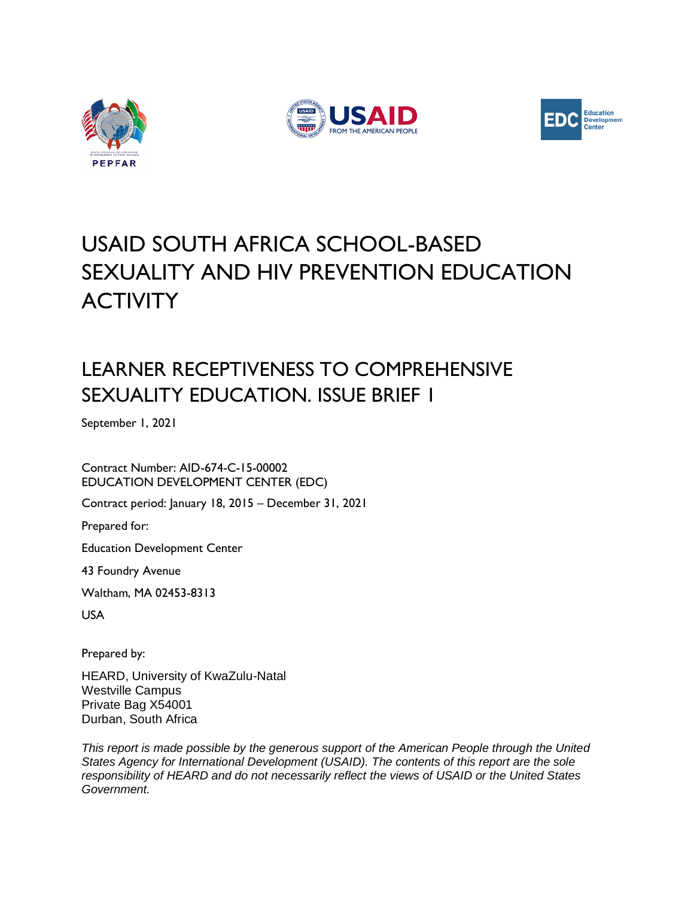





# USAID SOUTH AFRICA SCHOOL-BASED SEXUALITY AND HIV PREVENTION EDUCATION **ACTIVITY**

## LEARNER RECEPTIVENESS TO COMPREHENSIVE SEXUALITY EDUCATION. ISSUE BRIEF 1

September 1, 2021

Contract Number: AID-674-C-15-00002 EDUCATION DEVELOPMENT CENTER (EDC)

Contract period: January 18, 2015 – December 31, 2021

Prepared for:

Education Development Center

43 Foundry Avenue

Waltham, MA 02453-8313

USA

Prepared by:

HEARD, University of KwaZulu-Natal Westville Campus Private Bag X54001 Durban, South Africa

*This report is made possible by the generous support of the American People through the United States Agency for International Development (USAID). The contents of this report are the sole responsibility of HEARD and do not necessarily reflect the views of USAID or the United States Government.*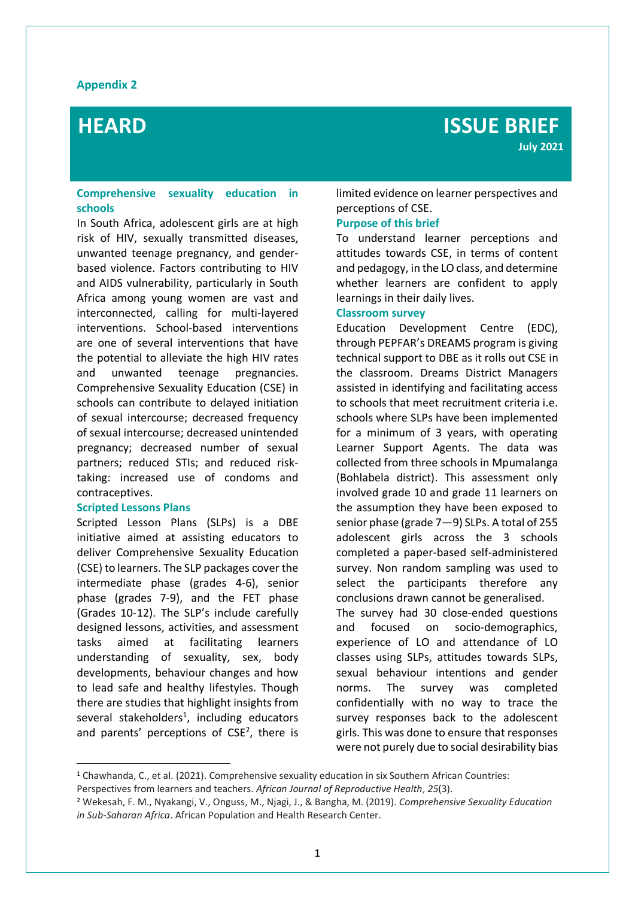#### **Appendix 2**

### **Comprehensive sexuality education in schools**

In South Africa, adolescent girls are at high risk of HIV, sexually transmitted diseases, unwanted teenage pregnancy, and genderbased violence. Factors contributing to HIV and AIDS vulnerability, particularly in South Africa among young women are vast and interconnected, calling for multi-layered interventions. School-based interventions are one of several interventions that have the potential to alleviate the high HIV rates and unwanted teenage pregnancies. Comprehensive Sexuality Education (CSE) in schools can contribute to delayed initiation of sexual intercourse; decreased frequency of sexual intercourse; decreased unintended pregnancy; decreased number of sexual partners; reduced STIs; and reduced risktaking: increased use of condoms and contraceptives.

#### **Scripted Lessons Plans**

Scripted Lesson Plans (SLPs) is a DBE initiative aimed at assisting educators to deliver Comprehensive Sexuality Education (CSE) to learners. The SLP packages cover the intermediate phase (grades 4-6), senior phase (grades 7-9), and the FET phase (Grades 10-12). The SLP's include carefully designed lessons, activities, and assessment tasks aimed at facilitating learners understanding of sexuality, sex, body developments, behaviour changes and how to lead safe and healthy lifestyles. Though there are studies that highlight insights from several stakeholders<sup>1</sup>, including educators and parents' perceptions of  $CSE<sup>2</sup>$ , there is

limited evidence on learner perspectives and perceptions of CSE.

#### **Purpose of this brief**

**PERCEPTIONS AND ATTITUDES OF CSE AMONG ADOLESCENT GIRLS**

To understand learner perceptions and attitudes towards CSE, in terms of content and pedagogy, in the LO class, and determine whether learners are confident to apply learnings in their daily lives.

#### **Classroom survey**

Education Development Centre (EDC), through PEPFAR's DREAMS program is giving technical support to DBE as it rolls out CSE in the classroom. Dreams District Managers assisted in identifying and facilitating access to schools that meet recruitment criteria i.e. schools where SLPs have been implemented for a minimum of 3 years, with operating Learner Support Agents. The data was collected from three schools in Mpumalanga (Bohlabela district). This assessment only involved grade 10 and grade 11 learners on the assumption they have been exposed to senior phase (grade 7—9) SLPs. A total of 255 adolescent girls across the 3 schools completed a paper-based self-administered survey. Non random sampling was used to select the participants therefore any conclusions drawn cannot be generalised. The survey had 30 close-ended questions and focused on socio-demographics, experience of LO and attendance of LO classes using SLPs, attitudes towards SLPs, sexual behaviour intentions and gender norms. The survey was completed confidentially with no way to trace the survey responses back to the adolescent girls. This was done to ensure that responses were not purely due to social desirability bias

<sup>1</sup> Chawhanda, C., et al. (2021). Comprehensive sexuality education in six Southern African Countries: Perspectives from learners and teachers. *African Journal of Reproductive Health*, *25*(3).

<sup>2</sup> Wekesah, F. M., Nyakangi, V., Onguss, M., Njagi, J., & Bangha, M. (2019). *Comprehensive Sexuality Education in Sub-Saharan Africa*. African Population and Health Research Center.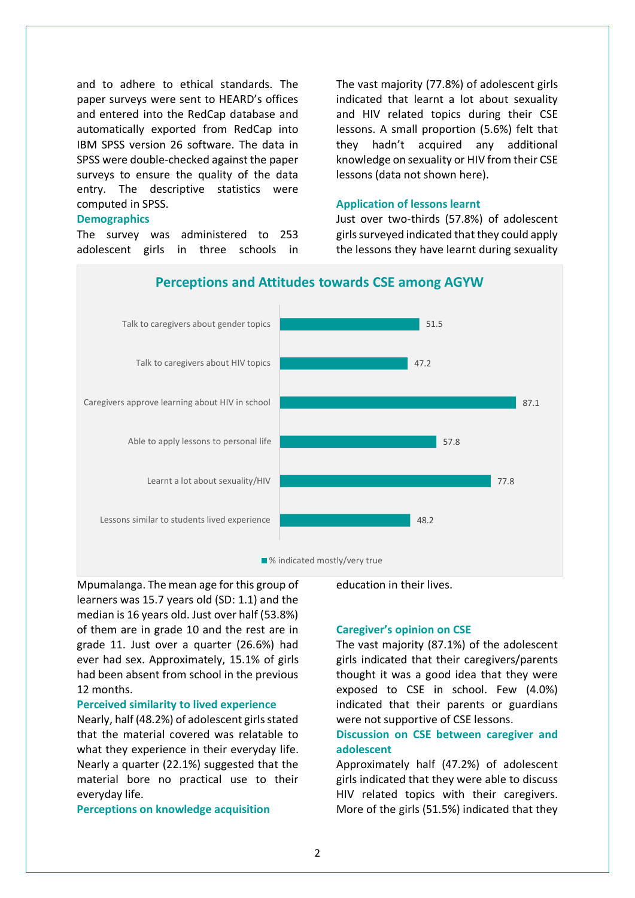and to adhere to ethical standards. The paper surveys were sent to HEARD's offices and entered into the RedCap database and automatically exported from RedCap into IBM SPSS version 26 software. The data in SPSS were double-checked against the paper surveys to ensure the quality of the data entry. The descriptive statistics were computed in SPSS.

#### **Demographics**

The survey was administered to 253 adolescent girls in three schools in The vast majority (77.8%) of adolescent girls indicated that learnt a lot about sexuality and HIV related topics during their CSE lessons. A small proportion (5.6%) felt that they hadn't acquired any additional knowledge on sexuality or HIV from their CSE lessons (data not shown here).

#### **Application of lessons learnt**

Just over two-thirds (57.8%) of adolescent girls surveyed indicated that they could apply the lessons they have learnt during sexuality





Mpumalanga. The mean age for this group of learners was 15.7 years old (SD: 1.1) and the median is 16 years old. Just over half (53.8%) of them are in grade 10 and the rest are in grade 11. Just over a quarter (26.6%) had ever had sex. Approximately, 15.1% of girls had been absent from school in the previous 12 months.

#### **Perceived similarity to lived experience**

Nearly, half (48.2%) of adolescent girls stated that the material covered was relatable to what they experience in their everyday life. Nearly a quarter (22.1%) suggested that the material bore no practical use to their everyday life.

**Perceptions on knowledge acquisition**

education in their lives.

#### **Caregiver's opinion on CSE**

The vast majority (87.1%) of the adolescent girls indicated that their caregivers/parents thought it was a good idea that they were exposed to CSE in school. Few (4.0%) indicated that their parents or guardians were not supportive of CSE lessons.

### **Discussion on CSE between caregiver and adolescent**

Approximately half (47.2%) of adolescent girls indicated that they were able to discuss HIV related topics with their caregivers. More of the girls (51.5%) indicated that they